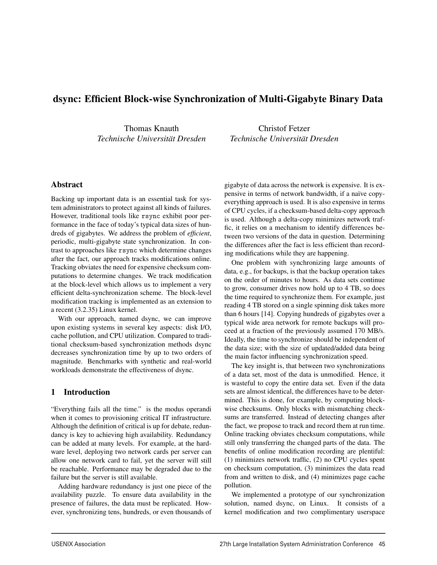# dsync: Efficient Block-wise Synchronization of Multi-Gigabyte Binary Data

Thomas Knauth *Technische Universitat Dresden ¨*

Christof Fetzer *Technische Universitat Dresden ¨*

### Abstract

Backing up important data is an essential task for system administrators to protect against all kinds of failures. However, traditional tools like rsync exhibit poor performance in the face of today's typical data sizes of hundreds of gigabytes. We address the problem of *efficient*, periodic, multi-gigabyte state synchronization. In contrast to approaches like rsync which determine changes after the fact, our approach tracks modifications online. Tracking obviates the need for expensive checksum computations to determine changes. We track modification at the block-level which allows us to implement a very efficient delta-synchronization scheme. The block-level modification tracking is implemented as an extension to a recent (3.2.35) Linux kernel.

With our approach, named dsync, we can improve upon existing systems in several key aspects: disk I/O, cache pollution, and CPU utilization. Compared to traditional checksum-based synchronization methods dsync decreases synchronization time by up to two orders of magnitude. Benchmarks with synthetic and real-world workloads demonstrate the effectiveness of dsync.

# 1 Introduction

"Everything fails all the time." is the modus operandi when it comes to provisioning critical IT infrastructure. Although the definition of critical is up for debate, redundancy is key to achieving high availability. Redundancy can be added at many levels. For example, at the hardware level, deploying two network cards per server can allow one network card to fail, yet the server will still be reachable. Performance may be degraded due to the failure but the server is still available.

Adding hardware redundancy is just one piece of the availability puzzle. To ensure data availability in the presence of failures, the data must be replicated. However, synchronizing tens, hundreds, or even thousands of gigabyte of data across the network is expensive. It is expensive in terms of network bandwidth, if a naïve copyeverything approach is used. It is also expensive in terms of CPU cycles, if a checksum-based delta-copy approach is used. Although a delta-copy minimizes network traffic, it relies on a mechanism to identify differences between two versions of the data in question. Determining the differences after the fact is less efficient than recording modifications while they are happening.

One problem with synchronizing large amounts of data, e.g., for backups, is that the backup operation takes on the order of minutes to hours. As data sets continue to grow, consumer drives now hold up to 4 TB, so does the time required to synchronize them. For example, just reading 4 TB stored on a single spinning disk takes more than 6 hours [14]. Copying hundreds of gigabytes over a typical wide area network for remote backups will proceed at a fraction of the previously assumed 170 MB/s. Ideally, the time to synchronize should be independent of the data size; with the size of updated/added data being the main factor influencing synchronization speed.

The key insight is, that between two synchronizations of a data set, most of the data is unmodified. Hence, it is wasteful to copy the entire data set. Even if the data sets are almost identical, the differences have to be determined. This is done, for example, by computing blockwise checksums. Only blocks with mismatching checksums are transferred. Instead of detecting changes after the fact, we propose to track and record them at run time. Online tracking obviates checksum computations, while still only transferring the changed parts of the data. The benefits of online modification recording are plentiful: (1) minimizes network traffic, (2) no CPU cycles spent on checksum computation, (3) minimizes the data read from and written to disk, and (4) minimizes page cache pollution.

We implemented a prototype of our synchronization solution, named dsync, on Linux. It consists of a kernel modification and two complimentary userspace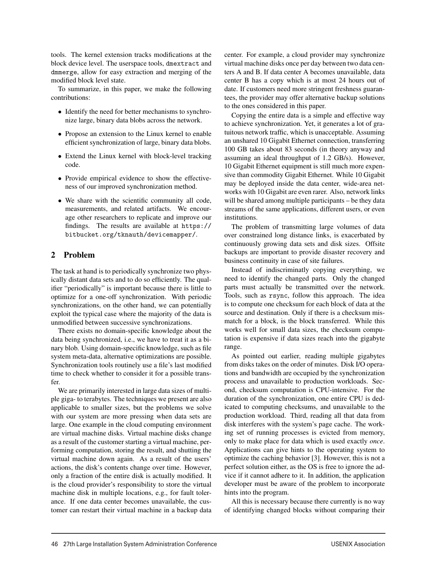tools. The kernel extension tracks modifications at the block device level. The userspace tools, dmextract and dmmerge, allow for easy extraction and merging of the modified block level state.

To summarize, in this paper, we make the following contributions:

- Identify the need for better mechanisms to synchronize large, binary data blobs across the network.
- Propose an extension to the Linux kernel to enable efficient synchronization of large, binary data blobs.
- Extend the Linux kernel with block-level tracking code.
- Provide empirical evidence to show the effectiveness of our improved synchronization method.
- We share with the scientific community all code, measurements, and related artifacts. We encourage other researchers to replicate and improve our findings. The results are available at https:// bitbucket.org/tknauth/devicemapper/.

# 2 Problem

The task at hand is to periodically synchronize two physically distant data sets and to do so efficiently. The qualifier "periodically" is important because there is little to optimize for a one-off synchronization. With periodic synchronizations, on the other hand, we can potentially exploit the typical case where the majority of the data is unmodified between successive synchronizations.

There exists no domain-specific knowledge about the data being synchronized, i.e., we have to treat it as a binary blob. Using domain-specific knowledge, such as file system meta-data, alternative optimizations are possible. Synchronization tools routinely use a file's last modified time to check whether to consider it for a possible transfer.

We are primarily interested in large data sizes of multiple giga- to terabytes. The techniques we present are also applicable to smaller sizes, but the problems we solve with our system are more pressing when data sets are large. One example in the cloud computing environment are virtual machine disks. Virtual machine disks change as a result of the customer starting a virtual machine, performing computation, storing the result, and shutting the virtual machine down again. As a result of the users' actions, the disk's contents change over time. However, only a fraction of the entire disk is actually modified. It is the cloud provider's responsibility to store the virtual machine disk in multiple locations, e.g., for fault tolerance. If one data center becomes unavailable, the customer can restart their virtual machine in a backup data center. For example, a cloud provider may synchronize virtual machine disks once per day between two data centers A and B. If data center A becomes unavailable, data center B has a copy which is at most 24 hours out of date. If customers need more stringent freshness guarantees, the provider may offer alternative backup solutions to the ones considered in this paper.

Copying the entire data is a simple and effective way to achieve synchronization. Yet, it generates a lot of gratuitous network traffic, which is unacceptable. Assuming an unshared 10 Gigabit Ethernet connection, transferring 100 GB takes about 83 seconds (in theory anyway and assuming an ideal throughput of 1.2 GB/s). However, 10 Gigabit Ethernet equipment is still much more expensive than commodity Gigabit Ethernet. While 10 Gigabit may be deployed inside the data center, wide-area networks with 10 Gigabit are even rarer. Also, network links will be shared among multiple participants – be they data streams of the same applications, different users, or even institutions.

The problem of transmitting large volumes of data over constrained long distance links, is exacerbated by continuously growing data sets and disk sizes. Offsite backups are important to provide disaster recovery and business continuity in case of site failures.

Instead of indiscriminatly copying everything, we need to identify the changed parts. Only the changed parts must actually be transmitted over the network. Tools, such as rsync, follow this approach. The idea is to compute one checksum for each block of data at the source and destination. Only if there is a checksum mismatch for a block, is the block transferred. While this works well for small data sizes, the checksum computation is expensive if data sizes reach into the gigabyte range.

As pointed out earlier, reading multiple gigabytes from disks takes on the order of minutes. Disk I/O operations and bandwidth are occupied by the synchronization process and unavailable to production workloads. Second, checksum computation is CPU-intensive. For the duration of the synchronization, one entire CPU is dedicated to computing checksums, and unavailable to the production workload. Third, reading all that data from disk interferes with the system's page cache. The working set of running processes is evicted from memory, only to make place for data which is used exactly *once*. Applications can give hints to the operating system to optimize the caching behavior [3]. However, this is not a perfect solution either, as the OS is free to ignore the advice if it cannot adhere to it. In addition, the application developer must be aware of the problem to incorporate hints into the program.

All this is necessary because there currently is no way of identifying changed blocks without comparing their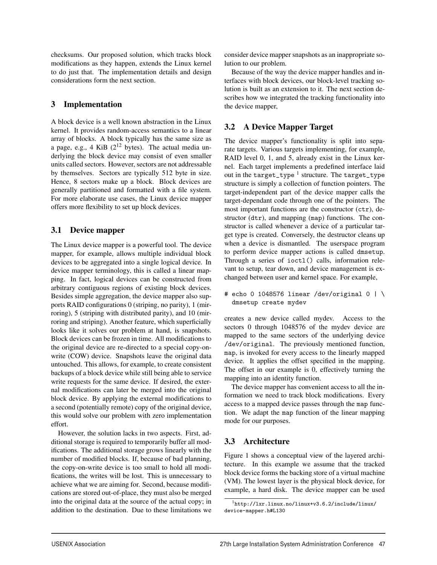checksums. Our proposed solution, which tracks block modifications as they happen, extends the Linux kernel to do just that. The implementation details and design considerations form the next section.

# 3 Implementation

A block device is a well known abstraction in the Linux kernel. It provides random-access semantics to a linear array of blocks. A block typically has the same size as a page, e.g., 4 KiB  $(2^{12}$  bytes). The actual media underlying the block device may consist of even smaller units called sectors. However, sectors are not addressable by themselves. Sectors are typically 512 byte in size. Hence, 8 sectors make up a block. Block devices are generally partitioned and formatted with a file system. For more elaborate use cases, the Linux device mapper offers more flexibility to set up block devices.

# 3.1 Device mapper

The Linux device mapper is a powerful tool. The device mapper, for example, allows multiple individual block devices to be aggregated into a single logical device. In device mapper terminology, this is called a linear mapping. In fact, logical devices can be constructed from arbitrary contiguous regions of existing block devices. Besides simple aggregation, the device mapper also supports RAID configurations 0 (striping, no parity), 1 (mirroring), 5 (striping with distributed parity), and 10 (mirroring and striping). Another feature, which superficially looks like it solves our problem at hand, is snapshots. Block devices can be frozen in time. All modifications to the original device are re-directed to a special copy-onwrite (COW) device. Snapshots leave the original data untouched. This allows, for example, to create consistent backups of a block device while still being able to service write requests for the same device. If desired, the external modifications can later be merged into the original block device. By applying the external modifications to a second (potentially remote) copy of the original device, this would solve our problem with zero implementation effort.

However, the solution lacks in two aspects. First, additional storage is required to temporarily buffer all modifications. The additional storage grows linearly with the number of modified blocks. If, because of bad planning, the copy-on-write device is too small to hold all modifications, the writes will be lost. This is unnecessary to achieve what we are aiming for. Second, because modifications are stored out-of-place, they must also be merged into the original data at the source of the actual copy; in addition to the destination. Due to these limitations we consider device mapper snapshots as an inappropriate solution to our problem.

Because of the way the device mapper handles and interfaces with block devices, our block-level tracking solution is built as an extension to it. The next section describes how we integrated the tracking functionality into the device mapper,

# 3.2 A Device Mapper Target

The device mapper's functionality is split into separate targets. Various targets implementing, for example, RAID level 0, 1, and 5, already exist in the Linux kernel. Each target implements a predefined interface laid out in the target\_type  $<sup>1</sup>$  structure. The target\_type</sup> structure is simply a collection of function pointers. The target-independent part of the device mapper calls the target-dependant code through one of the pointers. The most important functions are the constructor (ctr), destructor (dtr), and mapping (map) functions. The constructor is called whenever a device of a particular target type is created. Conversely, the destructor cleans up when a device is dismantled. The userspace program to perform device mapper actions is called dmsetup. Through a series of ioctl() calls, information relevant to setup, tear down, and device management is exchanged between user and kernel space. For example,

# echo 0 1048576 linear /dev/original 0 | \ dmsetup create mydev

creates a new device called mydev. Access to the sectors 0 through 1048576 of the mydev device are mapped to the same sectors of the underlying device /dev/original. The previously mentioned function, map, is invoked for every access to the linearly mapped device. It applies the offset specified in the mapping. The offset in our example is 0, effectively turning the mapping into an identity function.

The device mapper has convenient access to all the information we need to track block modifications. Every access to a mapped device passes through the map function. We adapt the map function of the linear mapping mode for our purposes.

# 3.3 Architecture

Figure 1 shows a conceptual view of the layered architecture. In this example we assume that the tracked block device forms the backing store of a virtual machine (VM). The lowest layer is the physical block device, for example, a hard disk. The device mapper can be used

<sup>1</sup>http://lxr.linux.no/linux+v3.6.2/include/linux/ device-mapper.h#L130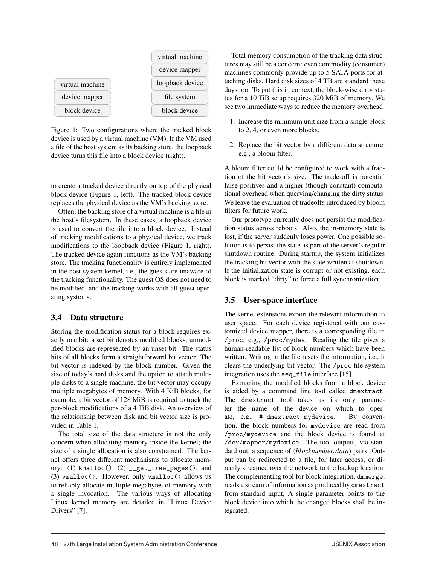

Figure 1: Two configurations where the tracked block device is used by a virtual machine (VM). If the VM used a file of the host system as its backing store, the loopback device turns this file into a block device (right).

to create a tracked device directly on top of the physical block device (Figure 1, left). The tracked block device replaces the physical device as the VM's backing store.

Often, the backing store of a virtual machine is a file in the host's filesystem. In these cases, a loopback device is used to convert the file into a block device. Instead of tracking modifications to a physical device, we track modifications to the loopback device (Figure 1, right). The tracked device again functions as the VM's backing store. The tracking functionality is entirely implemented in the host system kernel, i.e., the guests are unaware of the tracking functionality. The guest OS does not need to be modified, and the tracking works with all guest operating systems.

# 3.4 Data structure

Storing the modification status for a block requires exactly one bit: a set bit denotes modified blocks, unmodified blocks are represented by an unset bit. The status bits of all blocks form a straightforward bit vector. The bit vector is indexed by the block number. Given the size of today's hard disks and the option to attach multiple disks to a single machine, the bit vector may occupy multiple megabytes of memory. With 4 KiB blocks, for example, a bit vector of 128 MiB is required to track the per-block modifications of a 4 TiB disk. An overview of the relationship between disk and bit vector size is provided in Table 1.

The total size of the data structure is not the only concern when allocating memory inside the kernel; the size of a single allocation is also constrained. The kernel offers three different mechanisms to allocate memory: (1) kmalloc(), (2) \_\_get\_free\_pages(), and (3) vmalloc(). However, only vmalloc() allows us to reliably allocate multiple megabytes of memory with a single invocation. The various ways of allocating Linux kernel memory are detailed in "Linux Device Drivers" [7].

Total memory consumption of the tracking data structures may still be a concern: even commodity (consumer) machines commonly provide up to 5 SATA ports for attaching disks. Hard disk sizes of 4 TB are standard these days too. To put this in context, the block-wise dirty status for a 10 TiB setup requires 320 MiB of memory. We see two immediate ways to reduce the memory overhead:

- 1. Increase the minimum unit size from a single block to 2, 4, or even more blocks.
- 2. Replace the bit vector by a different data structure, e.g., a bloom filter.

A bloom filter could be configured to work with a fraction of the bit vector's size. The trade-off is potential false positives and a higher (though constant) computational overhead when querying/changing the dirty status. We leave the evaluation of tradeoffs introduced by bloom filters for future work.

Our prototype currently does not persist the modification status across reboots. Also, the in-memory state is lost, if the server suddenly loses power. One possible solution is to persist the state as part of the server's regular shutdown routine. During startup, the system initializes the tracking bit vector with the state written at shutdown. If the initialization state is corrupt or not existing, each block is marked "dirty" to force a full synchronization.

# 3.5 User-space interface

The kernel extensions export the relevant information to user space. For each device registered with our customized device mapper, there is a corresponding file in /proc, e.g., /proc/mydev. Reading the file gives a human-readable list of block numbers which have been written. Writing to the file resets the information, i.e., it clears the underlying bit vector. The /proc file system integration uses the seq\_file interface [15].

Extracting the modified blocks from a block device is aided by a command line tool called dmextract. The dmextract tool takes as its only parameter the name of the device on which to operate, e.g., # dmextract mydevice. By convention, the block numbers for mydevice are read from /proc/mydevice and the block device is found at /dev/mapper/mydevice. The tool outputs, via standard out, a sequence of (*blocknumber*,*data*) pairs. Output can be redirected to a file, for later access, or directly streamed over the network to the backup location. The complementing tool for block integration, dmmerge, reads a stream of information as produced by dmextract from standard input, A single parameter points to the block device into which the changed blocks shall be integrated.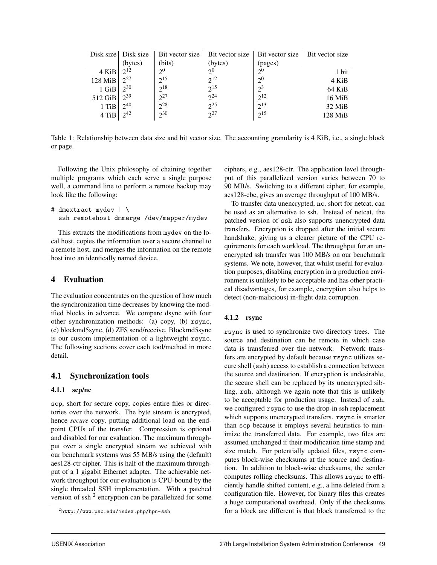|         |          | Disk size   Disk size   Bit vector size   Bit vector size |          | Bit vector size | Bit vector size |
|---------|----------|-----------------------------------------------------------|----------|-----------------|-----------------|
|         | (bytes)  | (bits)                                                    | (bytes)  | (pages)         |                 |
| 4 KiB   | $2^{12}$ | 20                                                        | 20       | 2 <sup>0</sup>  | 1 bit           |
| 128 MiB | $2^{27}$ | $2^{15}$                                                  | $2^{12}$ | 2 <sup>0</sup>  | 4 KiB           |
| 1 GiB   | $2^{30}$ | $2^{18}$                                                  | $2^{15}$ | $2^3$           | 64 KiB          |
| 512 GiB | $2^{39}$ | $2^{27}$                                                  | $2^{24}$ | $2^{12}$        | 16 MiB          |
| 1 TiB   | $2^{40}$ | $2^{28}$                                                  | $2^{25}$ | $2^{13}$        | 32 MiB          |
| 4 TiB   | 242      | $2^{30}$                                                  | $2^{27}$ | $2^{15}$        | $128$ MiB       |

Table 1: Relationship between data size and bit vector size. The accounting granularity is 4 KiB, i.e., a single block or page.

Following the Unix philosophy of chaining together multiple programs which each serve a single purpose well, a command line to perform a remote backup may look like the following:

```
# dmextract mydev | \
ssh remotehost dmmerge /dev/mapper/mydev
```
This extracts the modifications from mydev on the local host, copies the information over a secure channel to a remote host, and merges the information on the remote host into an identically named device.

# 4 Evaluation

The evaluation concentrates on the question of how much the synchronization time decreases by knowing the modified blocks in advance. We compare dsync with four other synchronization methods: (a) copy, (b) rsync, (c) blockmd5sync, (d) ZFS send/receive. Blockmd5sync is our custom implementation of a lightweight rsync. The following sections cover each tool/method in more detail.

# 4.1 Synchronization tools

### 4.1.1 scp/nc

scp, short for secure copy, copies entire files or directories over the network. The byte stream is encrypted, hence *secure* copy, putting additional load on the endpoint CPUs of the transfer. Compression is optional and disabled for our evaluation. The maximum throughput over a single encrypted stream we achieved with our benchmark systems was 55 MB/s using the (default) aes128-ctr cipher. This is half of the maximum throughput of a 1 gigabit Ethernet adapter. The achievable network throughput for our evaluation is CPU-bound by the single threaded SSH implementation. With a patched version of ssh<sup> $2$ </sup> encryption can be parallelized for some ciphers, e.g., aes128-ctr. The application level throughput of this parallelized version varies between 70 to 90 MB/s. Switching to a different cipher, for example, aes128-cbc, gives an average throughput of 100 MB/s.

To transfer data unencrypted, nc, short for netcat, can be used as an alternative to ssh. Instead of netcat, the patched version of ssh also supports unencrypted data transfers. Encryption is dropped after the initial secure handshake, giving us a clearer picture of the CPU requirements for each workload. The throughput for an unencrypted ssh transfer was 100 MB/s on our benchmark systems. We note, however, that whilst useful for evaluation purposes, disabling encryption in a production environment is unlikely to be acceptable and has other practical disadvantages, for example, encryption also helps to detect (non-malicious) in-flight data corruption.

# 4.1.2 rsync

rsync is used to synchronize two directory trees. The source and destination can be remote in which case data is transferred over the network. Network transfers are encrypted by default because rsync utilizes secure shell (ssh) access to establish a connection between the source and destination. If encryption is undesirable, the secure shell can be replaced by its unencrypted sibling, rsh, although we again note that this is unlikely to be acceptable for production usage. Instead of rsh, we configured rsync to use the drop-in ssh replacement which supports unencrypted transfers. rsync is smarter than scp because it employs several heuristics to minimize the transferred data. For example, two files are assumed unchanged if their modification time stamp and size match. For potentially updated files, rsync computes block-wise checksums at the source and destination. In addition to block-wise checksums, the sender computes rolling checksums. This allows rsync to efficiently handle shifted content, e.g., a line deleted from a configuration file. However, for binary files this creates a huge computational overhead. Only if the checksums for a block are different is that block transferred to the

<sup>2</sup>http://www.psc.edu/index.php/hpn-ssh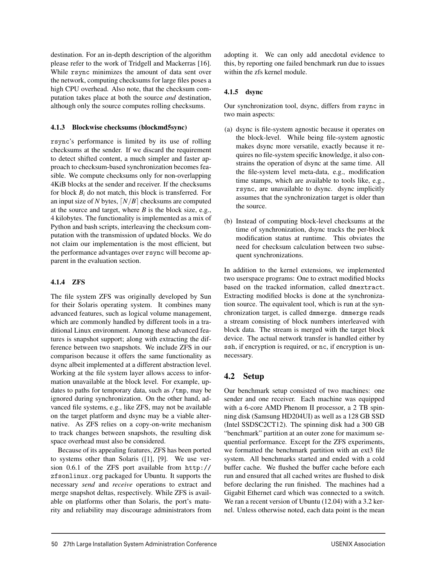destination. For an in-depth description of the algorithm please refer to the work of Tridgell and Mackerras [16]. While rsync minimizes the amount of data sent over the network, computing checksums for large files poses a high CPU overhead. Also note, that the checksum computation takes place at both the source *and* destination, although only the source computes rolling checksums.

### 4.1.3 Blockwise checksums (blockmd5sync)

rsync's performance is limited by its use of rolling checksums at the sender. If we discard the requirement to detect shifted content, a much simpler and faster approach to checksum-based synchronization becomes feasible. We compute checksums only for non-overlapping 4KiB blocks at the sender and receiver. If the checksums for block  $B_i$  do not match, this block is transferred. For an input size of *N* bytes,  $\lfloor N/B \rfloor$  checksums are computed at the source and target, where *B* is the block size, e.g., 4 kilobytes. The functionality is implemented as a mix of Python and bash scripts, interleaving the checksum computation with the transmission of updated blocks. We do not claim our implementation is the most efficient, but the performance advantages over rsync will become apparent in the evaluation section.

### 4.1.4 ZFS

The file system ZFS was originally developed by Sun for their Solaris operating system. It combines many advanced features, such as logical volume management, which are commonly handled by different tools in a traditional Linux environment. Among these advanced features is snapshot support; along with extracting the difference between two snapshots. We include ZFS in our comparison because it offers the same functionality as dsync albeit implemented at a different abstraction level. Working at the file system layer allows access to information unavailable at the block level. For example, updates to paths for temporary data, such as /tmp, may be ignored during synchronization. On the other hand, advanced file systems, e.g., like ZFS, may not be available on the target platform and dsync may be a viable alternative. As ZFS relies on a copy-on-write mechanism to track changes between snapshots, the resulting disk space overhead must also be considered.

Because of its appealing features, ZFS has been ported to systems other than Solaris ([1], [9]. We use version 0.6.1 of the ZFS port available from http:// zfsonlinux.org packaged for Ubuntu. It supports the necessary *send* and *receive* operations to extract and merge snapshot deltas, respectively. While ZFS is available on platforms other than Solaris, the port's maturity and reliability may discourage administrators from adopting it. We can only add anecdotal evidence to this, by reporting one failed benchmark run due to issues within the zfs kernel module.

### 4.1.5 dsync

Our synchronization tool, dsync, differs from rsync in two main aspects:

- (a) dsync is file-system agnostic because it operates on the block-level. While being file-system agnostic makes dsync more versatile, exactly because it requires no file-system specific knowledge, it also constrains the operation of dsync at the same time. All the file-system level meta-data, e.g., modification time stamps, which are available to tools like, e.g., rsync, are unavailable to dsync. dsync implicitly assumes that the synchronization target is older than the source.
- (b) Instead of computing block-level checksums at the time of synchronization, dsync tracks the per-block modification status at runtime. This obviates the need for checksum calculation between two subsequent synchronizations.

In addition to the kernel extensions, we implemented two userspace programs: One to extract modified blocks based on the tracked information, called dmextract. Extracting modified blocks is done at the synchronization source. The equivalent tool, which is run at the synchronization target, is called dmmerge. dmmerge reads a stream consisting of block numbers interleaved with block data. The stream is merged with the target block device. The actual network transfer is handled either by ssh, if encryption is required, or nc, if encryption is unnecessary.

# 4.2 Setup

Our benchmark setup consisted of two machines: one sender and one receiver. Each machine was equipped with a 6-core AMD Phenom II processor, a 2 TB spinning disk (Samsung HD204UI) as well as a 128 GB SSD (Intel SSDSC2CT12). The spinning disk had a 300 GB "benchmark" partition at an outer zone for maximum sequential performance. Except for the ZFS experiments, we formatted the benchmark partition with an ext3 file system. All benchmarks started and ended with a cold buffer cache. We flushed the buffer cache before each run and ensured that all cached writes are flushed to disk before declaring the run finished. The machines had a Gigabit Ethernet card which was connected to a switch. We ran a recent version of Ubuntu (12.04) with a 3.2 kernel. Unless otherwise noted, each data point is the mean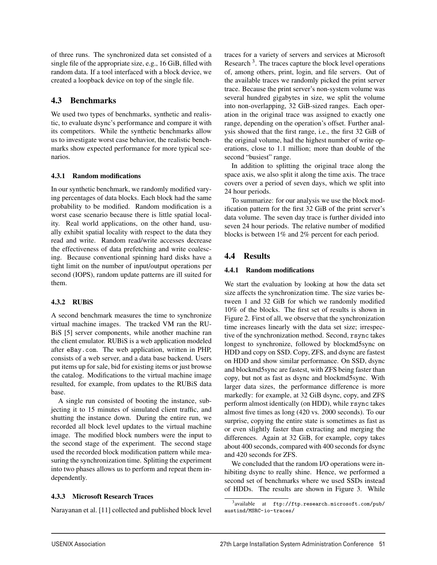of three runs. The synchronized data set consisted of a single file of the appropriate size, e.g., 16 GiB, filled with random data. If a tool interfaced with a block device, we created a loopback device on top of the single file.

# 4.3 Benchmarks

We used two types of benchmarks, synthetic and realistic, to evaluate dsync's performance and compare it with its competitors. While the synthetic benchmarks allow us to investigate worst case behavior, the realistic benchmarks show expected performance for more typical scenarios.

### 4.3.1 Random modifications

In our synthetic benchmark, we randomly modified varying percentages of data blocks. Each block had the same probability to be modified. Random modification is a worst case scenario because there is little spatial locality. Real world applications, on the other hand, usually exhibit spatial locality with respect to the data they read and write. Random read/write accesses decrease the effectiveness of data prefetching and write coalescing. Because conventional spinning hard disks have a tight limit on the number of input/output operations per second (IOPS), random update patterns are ill suited for them.

# 4.3.2 RUBiS

A second benchmark measures the time to synchronize virtual machine images. The tracked VM ran the RU-BiS [5] server components, while another machine ran the client emulator. RUBiS is a web application modeled after eBay.com. The web application, written in PHP, consists of a web server, and a data base backend. Users put items up for sale, bid for existing items or just browse the catalog. Modifications to the virtual machine image resulted, for example, from updates to the RUBiS data base.

A single run consisted of booting the instance, subjecting it to 15 minutes of simulated client traffic, and shutting the instance down. During the entire run, we recorded all block level updates to the virtual machine image. The modified block numbers were the input to the second stage of the experiment. The second stage used the recorded block modification pattern while measuring the synchronization time. Splitting the experiment into two phases allows us to perform and repeat them independently.

# 4.3.3 Microsoft Research Traces

Narayanan et al. [11] collected and published block level

traces for a variety of servers and services at Microsoft Research  $3$ . The traces capture the block level operations of, among others, print, login, and file servers. Out of the available traces we randomly picked the print server trace. Because the print server's non-system volume was several hundred gigabytes in size, we split the volume into non-overlapping, 32 GiB-sized ranges. Each operation in the original trace was assigned to exactly one range, depending on the operation's offset. Further analysis showed that the first range, i.e., the first 32 GiB of the original volume, had the highest number of write operations, close to 1.1 million; more than double of the second "busiest" range.

In addition to splitting the original trace along the space axis, we also split it along the time axis. The trace covers over a period of seven days, which we split into 24 hour periods.

To summarize: for our analysis we use the block modification pattern for the first 32 GiB of the print server's data volume. The seven day trace is further divided into seven 24 hour periods. The relative number of modified blocks is between 1% and 2% percent for each period.

# 4.4 Results

# 4.4.1 Random modifications

We start the evaluation by looking at how the data set size affects the synchronization time. The size varies between 1 and 32 GiB for which we randomly modified 10% of the blocks. The first set of results is shown in Figure 2. First of all, we observe that the synchronization time increases linearly with the data set size; irrespective of the synchronization method. Second, rsync takes longest to synchronize, followed by blockmd5sync on HDD and copy on SSD. Copy, ZFS, and dsync are fastest on HDD and show similar performance. On SSD, dsync and blockmd5sync are fastest, with ZFS being faster than copy, but not as fast as dsync and blockmd5sync. With larger data sizes, the performance difference is more markedly: for example, at 32 GiB dsync, copy, and ZFS perform almost identically (on HDD), while rsync takes almost five times as long (420 vs. 2000 seconds). To our surprise, copying the entire state is sometimes as fast as or even slightly faster than extracting and merging the differences. Again at 32 GiB, for example, copy takes about 400 seconds, compared with 400 seconds for dsync and 420 seconds for ZFS.

We concluded that the random I/O operations were inhibiting dsync to really shine. Hence, we performed a second set of benchmarks where we used SSDs instead of HDDs. The results are shown in Figure 3. While

 $3$ available at ftp://ftp.research.microsoft.com/pub/ austind/MSRC-io-traces/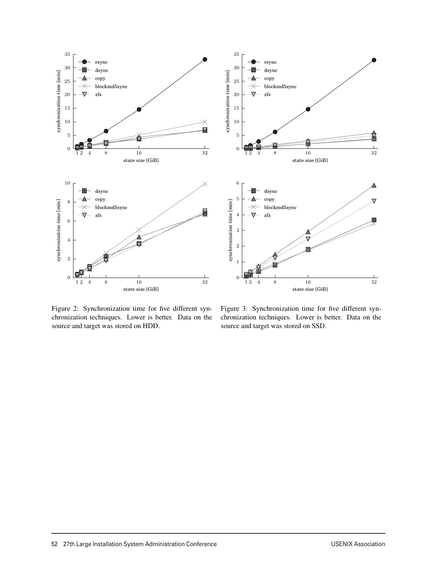



Figure 2: Synchronization time for five different synchronization techniques. Lower is better. Data on the source and target was stored on HDD.

Figure 3: Synchronization time for five different synchronization techniques. Lower is better. Data on the source and target was stored on SSD.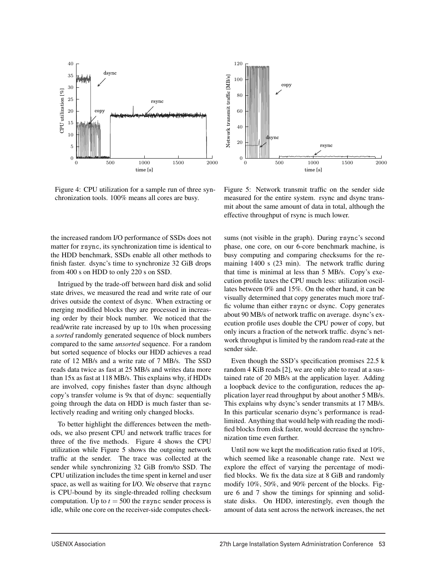

Figure 4: CPU utilization for a sample run of three synchronization tools. 100% means all cores are busy.



Figure 5: Network transmit traffic on the sender side measured for the entire system. rsync and dsync transmit about the same amount of data in total, although the effective throughput of rsync is much lower.

the increased random I/O performance of SSDs does not matter for rsync, its synchronization time is identical to the HDD benchmark, SSDs enable all other methods to finish faster. dsync's time to synchronize 32 GiB drops from 400 s on HDD to only 220 s on SSD.

Intrigued by the trade-off between hard disk and solid state drives, we measured the read and write rate of our drives outside the context of dsync. When extracting or merging modified blocks they are processed in increasing order by their block number. We noticed that the read/write rate increased by up to 10x when processing a *sorted* randomly generated sequence of block numbers compared to the same *unsorted* sequence. For a random but sorted sequence of blocks our HDD achieves a read rate of 12 MB/s and a write rate of 7 MB/s. The SSD reads data twice as fast at 25 MB/s and writes data more than 15x as fast at 118 MB/s. This explains why, if HDDs are involved, copy finishes faster than dsync although copy's transfer volume is 9x that of dsync: sequentially going through the data on HDD is much faster than selectively reading and writing only changed blocks.

To better highlight the differences between the methods, we also present CPU and network traffic traces for three of the five methods. Figure 4 shows the CPU utilization while Figure 5 shows the outgoing network traffic at the sender. The trace was collected at the sender while synchronizing 32 GiB from/to SSD. The CPU utilization includes the time spent in kernel and user space, as well as waiting for I/O. We observe that rsync is CPU-bound by its single-threaded rolling checksum computation. Up to  $t = 500$  the rsync sender process is idle, while one core on the receiver-side computes checksums (not visible in the graph). During rsync's second phase, one core, on our 6-core benchmark machine, is busy computing and comparing checksums for the remaining 1400 s (23 min). The network traffic during that time is minimal at less than 5 MB/s. Copy's execution profile taxes the CPU much less: utilization oscillates between 0% and 15%. On the other hand, it can be visually determined that copy generates much more traffic volume than either rsync or dsync. Copy generates about 90 MB/s of network traffic on average. dsync's execution profile uses double the CPU power of copy, but only incurs a fraction of the network traffic. dsync's network throughput is limited by the random read-rate at the sender side.

Even though the SSD's specification promises 22.5 k random 4 KiB reads [2], we are only able to read at a sustained rate of 20 MB/s at the application layer. Adding a loopback device to the configuration, reduces the application layer read throughput by about another 5 MB/s. This explains why dsync's sender transmits at 17 MB/s. In this particular scenario dsync's performance is readlimited. Anything that would help with reading the modified blocks from disk faster, would decrease the synchronization time even further.

Until now we kept the modification ratio fixed at 10%, which seemed like a reasonable change rate. Next we explore the effect of varying the percentage of modified blocks. We fix the data size at 8 GiB and randomly modify 10%, 50%, and 90% percent of the blocks. Figure 6 and 7 show the timings for spinning and solidstate disks. On HDD, interestingly, even though the amount of data sent across the network increases, the net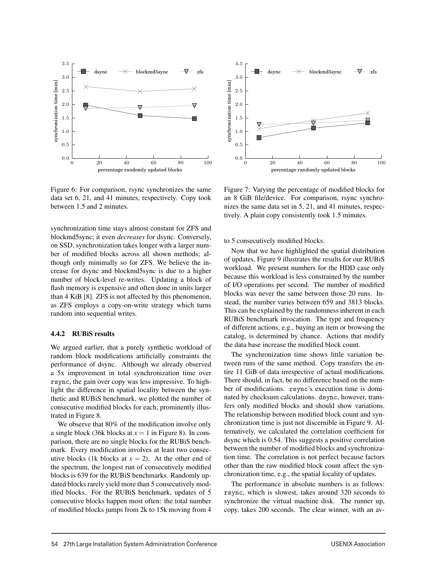

Figure 6: For comparison, rsync synchronizes the same data set 6, 21, and 41 minutes, respectively. Copy took between 1.5 and 2 minutes.

synchronization time stays almost constant for ZFS and blockmd5sync; it even *decreases* for dsync. Conversely, on SSD, synchronization takes longer with a larger number of modified blocks across all shown methods; although only minimally so for ZFS. We believe the increase for dsync and blockmd5sync is due to a higher number of block-level re-writes. Updating a block of flash memory is expensive and often done in units larger than 4 KiB [8]. ZFS is not affected by this phenomenon, as ZFS employs a copy-on-write strategy which turns random into sequential writes.

#### 4.4.2 RUBiS results

We argued earlier, that a purely synthetic workload of random block modifications artificially constraints the performance of dsync. Although we already observed a 5x improvement in total synchronization time over rsync, the gain over copy was less impressive. To highlight the difference in spatial locality between the synthetic and RUBiS benchmark, we plotted the number of consecutive modified blocks for each; prominently illustrated in Figure 8.

We observe that 80% of the modification involve only a single block (36k blocks at  $x = 1$  in Figure 8). In comparison, there are no single blocks for the RUBiS benchmark. Every modification involves at least two consecutive blocks (1k blocks at  $x = 2$ ). At the other end of the spectrum, the longest run of consecutively modified blocks is 639 for the RUBiS benchmarks. Randomly updated blocks rarely yield more than 5 consecutively modified blocks. For the RUBiS benchmark, updates of 5 consecutive blocks happen most often: the total number of modified blocks jumps from 2k to 15k moving from 4



Figure 7: Varying the percentage of modified blocks for an 8 GiB file/device. For comparison, rsync synchronizes the same data set in 5, 21, and 41 minutes, respectively. A plain copy consistently took 1.5 minutes.

to 5 consecutively modified blocks.

Now that we have highlighted the spatial distribution of updates, Figure 9 illustrates the results for our RUBiS workload. We present numbers for the HDD case only because this workload is less constrained by the number of I/O operations per second. The number of modified blocks was never the same between those 20 runs. Instead, the number varies between 659 and 3813 blocks. This can be explained by the randomness inherent in each RUBiS benchmark invocation. The type and frequency of different actions, e.g., buying an item or browsing the catalog, is determined by chance. Actions that modify the data base increase the modified block count.

The synchronization time shows little variation between runs of the same method. Copy transfers the entire 11 GiB of data irrespective of actual modifications. There should, in fact, be no difference based on the number of modifications. rsync's execution time is dominated by checksum calculations. dsync, however, transfers only modified blocks and should show variations. The relationship between modified block count and synchronization time is just not discernible in Figure 9. Alternatively, we calculated the correlation coefficient for dsync which is 0.54. This suggests a positive correlation between the number of modified blocks and synchronization time. The correlation is not perfect because factors other than the raw modified block count affect the synchronization time, e.g., the spatial locality of updates.

The performance in absolute numbers is as follows: rsync, which is slowest, takes around 320 seconds to synchronize the virtual machine disk. The runner up, copy, takes 200 seconds. The clear winner, with an av-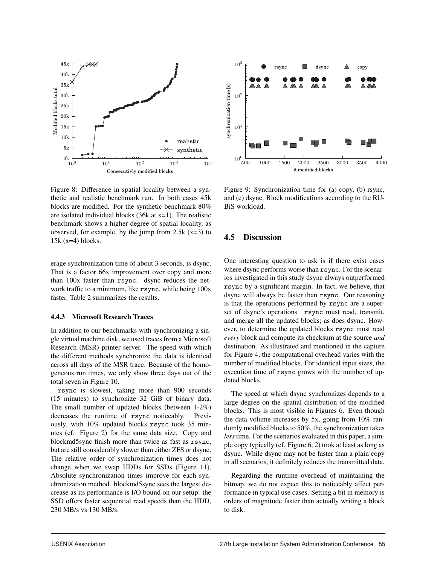

Figure 8: Difference in spatial locality between a synthetic and realistic benchmark run. In both cases 45k blocks are modified. For the synthetic benchmark 80% are isolated individual blocks  $(36k \text{ at } x=1)$ . The realistic benchmark shows a higher degree of spatial locality, as observed, for example, by the jump from  $2.5k$  (x=3) to  $15k$  (x=4) blocks.

erage synchronization time of about 3 seconds, is dsync. That is a factor 66x improvement over copy and more than 100x faster than rsync. dsync reduces the network traffic to a minimum, like rsync, while being 100x faster. Table 2 summarizes the results.

#### 4.4.3 Microsoft Research Traces

In addition to our benchmarks with synchronizing a single virtual machine disk, we used traces from a Microsoft Research (MSR) printer server. The speed with which the different methods synchronize the data is identical across all days of the MSR trace. Because of the homogeneous run times, we only show three days out of the total seven in Figure 10.

rsync is slowest, taking more than 900 seconds (15 minutes) to synchronize 32 GiB of binary data. The small number of updated blocks (between 1-2%) decreases the runtime of rsync noticeably. Previously, with 10% updated blocks rsync took 35 minutes (cf. Figure 2) for the same data size. Copy and blockmd5sync finish more than twice as fast as rsync, but are still considerably slower than either ZFS or dsync. The relative order of synchronization times does not change when we swap HDDs for SSDs (Figure 11). Absolute synchronization times improve for each synchronization method. blockmd5sync sees the largest decrease as its performance is I/O bound on our setup: the SSD offers faster sequential read speeds than the HDD, 230 MB/s vs 130 MB/s.



Figure 9: Synchronization time for (a) copy, (b) rsync, and (c) dsync. Block modifications according to the RU-BiS workload.

### 4.5 Discussion

One interesting question to ask is if there exist cases where dsync performs worse than rsync. For the scenarios investigated in this study dsync always outperformed rsync by a significant margin. In fact, we believe, that dsync will always be faster than rsync. Our reasoning is that the operations performed by rsync are a superset of dsync's operations. rsync must read, transmit, and merge all the updated blocks; as does dsync. However, to determine the updated blocks rsync must read *every* block and compute its checksum at the source *and* destination. As illustrated and mentioned in the capture for Figure 4, the computational overhead varies with the number of modified blocks. For identical input sizes, the execution time of rsync grows with the number of updated blocks.

The speed at which dsync synchronizes depends to a large degree on the spatial distribution of the modified blocks. This is most visible in Figures 6. Even though the data volume increases by 5x, going from 10% randomly modified blocks to 50%, the synchronization takes *less* time. For the scenarios evaluated in this paper, a simple copy typically (cf. Figure 6, 2) took at least as long as dsync. While dsync may not be faster than a plain copy in all scenarios, it definitely reduces the transmitted data.

Regarding the runtime overhead of maintaining the bitmap, we do not expect this to noticeably affect performance in typical use cases. Setting a bit in memory is orders of magnitude faster than actually writing a block to disk.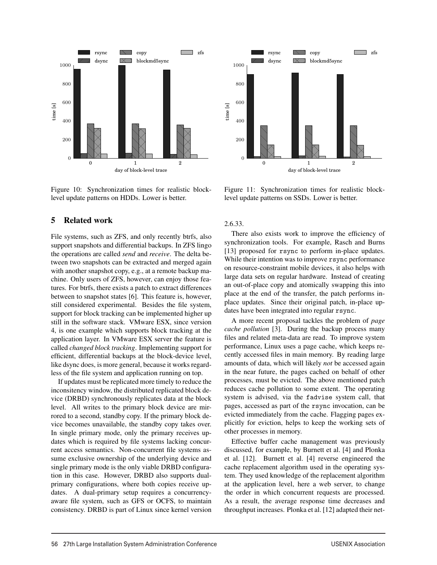

Figure 10: Synchronization times for realistic blocklevel update patterns on HDDs. Lower is better.

# 5 Related work

File systems, such as ZFS, and only recently btrfs, also support snapshots and differential backups. In ZFS lingo the operations are called *send* and *receive*. The delta between two snapshots can be extracted and merged again with another snapshot copy, e.g., at a remote backup machine. Only users of ZFS, however, can enjoy those features. For btrfs, there exists a patch to extract differences between to snapshot states [6]. This feature is, however, still considered experimental. Besides the file system, support for block tracking can be implemented higher up still in the software stack. VMware ESX, since version 4, is one example which supports block tracking at the application layer. In VMware ESX server the feature is called *changed block tracking*. Implementing support for efficient, differential backups at the block-device level, like dsync does, is more general, because it works regardless of the file system and application running on top.

If updates must be replicated more timely to reduce the inconsitency window, the distributed replicated block device (DRBD) synchronously replicates data at the block level. All writes to the primary block device are mirrored to a second, standby copy. If the primary block device becomes unavailable, the standby copy takes over. In single primary mode, only the primary receives updates which is required by file systems lacking concurrent access semantics. Non-concurrent file systems assume exclusive ownership of the underlying device and single primary mode is the only viable DRBD configuration in this case. However, DRBD also supports dualprimary configurations, where both copies receive updates. A dual-primary setup requires a concurrencyaware file system, such as GFS or OCFS, to maintain consistency. DRBD is part of Linux since kernel version



Figure 11: Synchronization times for realistic blocklevel update patterns on SSDs. Lower is better.

#### 2.6.33.

There also exists work to improve the efficiency of synchronization tools. For example, Rasch and Burns [13] proposed for rsync to perform in-place updates. While their intention was to improve rsync performance on resource-constraint mobile devices, it also helps with large data sets on regular hardware. Instead of creating an out-of-place copy and atomically swapping this into place at the end of the transfer, the patch performs inplace updates. Since their original patch, in-place updates have been integrated into regular rsync.

A more recent proposal tackles the problem of *page cache pollution* [3]. During the backup process many files and related meta-data are read. To improve system performance, Linux uses a page cache, which keeps recently accessed files in main memory. By reading large amounts of data, which will likely *not* be accessed again in the near future, the pages cached on behalf of other processes, must be evicted. The above mentioned patch reduces cache pollution to some extent. The operating system is advised, via the fadvise system call, that pages, accessed as part of the rsync invocation, can be evicted immediately from the cache. Flagging pages explicitly for eviction, helps to keep the working sets of other processes in memory.

Effective buffer cache management was previously discussed, for example, by Burnett et al. [4] and Plonka et al. [12]. Burnett et al. [4] reverse engineered the cache replacement algorithm used in the operating system. They used knowledge of the replacement algorithm at the application level, here a web server, to change the order in which concurrent requests are processed. As a result, the average response time decreases and throughput increases. Plonka et al. [12] adapted their net-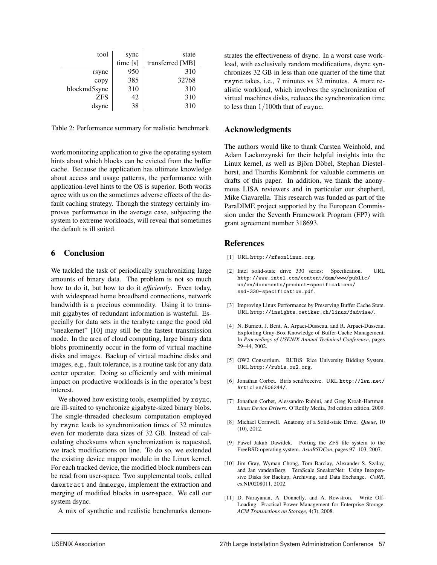| tool         | sync    | state            |
|--------------|---------|------------------|
|              | time[s] | transferred [MB] |
| rsync        | 950     | 310              |
| copy         | 385     | 32768            |
| blockmd5sync | 310     | 310              |
| <b>ZFS</b>   | 42      | 310              |
| dsync        | 38      | 310              |

Table 2: Performance summary for realistic benchmark.

work monitoring application to give the operating system hints about which blocks can be evicted from the buffer cache. Because the application has ultimate knowledge about access and usage patterns, the performance with application-level hints to the OS is superior. Both works agree with us on the sometimes adverse effects of the default caching strategy. Though the strategy certainly improves performance in the average case, subjecting the system to extreme workloads, will reveal that sometimes the default is ill suited.

# 6 Conclusion

We tackled the task of periodically synchronizing large amounts of binary data. The problem is not so much how to do it, but how to do it *efficiently*. Even today, with widespread home broadband connections, network bandwidth is a precious commodity. Using it to transmit gigabytes of redundant information is wasteful. Especially for data sets in the terabyte range the good old "sneakernet" [10] may still be the fastest transmission mode. In the area of cloud computing, large binary data blobs prominently occur in the form of virtual machine disks and images. Backup of virtual machine disks and images, e.g., fault tolerance, is a routine task for any data center operator. Doing so efficiently and with minimal impact on productive workloads is in the operator's best interest.

We showed how existing tools, exemplified by rsync, are ill-suited to synchronize gigabyte-sized binary blobs. The single-threaded checksum computation employed by rsync leads to synchronization times of 32 minutes even for moderate data sizes of 32 GB. Instead of calculating checksums when synchronization is requested, we track modifications on line. To do so, we extended the existing device mapper module in the Linux kernel. For each tracked device, the modified block numbers can be read from user-space. Two supplemental tools, called dmextract and dmmerge, implement the extraction and merging of modified blocks in user-space. We call our system dsync.

A mix of synthetic and realistic benchmarks demon-

strates the effectiveness of dsync. In a worst case workload, with exclusively random modifications, dsync synchronizes 32 GB in less than one quarter of the time that rsync takes, i.e., 7 minutes vs 32 minutes. A more realistic workload, which involves the synchronization of virtual machines disks, reduces the synchronization time to less than  $1/100$ th that of rsync.

### Acknowledgments

The authors would like to thank Carsten Weinhold, and Adam Lackorzynski for their helpful insights into the Linux kernel, as well as Björn Döbel, Stephan Diestelhorst, and Thordis Kombrink for valuable comments on drafts of this paper. In addition, we thank the anonymous LISA reviewers and in particular our shepherd, Mike Ciavarella. This research was funded as part of the ParaDIME project supported by the European Commission under the Seventh Framework Program (FP7) with grant agreement number 318693.

#### References

- [1] URL http://zfsonlinux.org.
- [2] Intel solid-state drive 330 series: Specification. URL http://www.intel.com/content/dam/www/public/ us/en/documents/product-specifications/ ssd-330-specification.pdf.
- [3] Improving Linux Performance by Preserving Buffer Cache State. URL http://insights.oetiker.ch/linux/fadvise/.
- [4] N. Burnett, J. Bent, A. Arpaci-Dusseau, and R. Arpaci-Dusseau. Exploiting Gray-Box Knowledge of Buffer-Cache Management. In *Proceedings of USENIX Annual Technical Conference*, pages 29–44, 2002.
- [5] OW2 Consortium. RUBiS: Rice University Bidding System. URL http://rubis.ow2.org.
- [6] Jonathan Corbet. Btrfs send/receive. URL http://lwn.net/ Articles/506244/.
- [7] Jonathan Corbet, Alessandro Rubini, and Greg Kroah-Hartman. *Linux Device Drivers*. O'Reilly Media, 3rd edition edition, 2009.
- [8] Michael Cornwell. Anatomy of a Solid-state Drive. *Queue*, 10 (10), 2012.
- [9] Pawel Jakub Dawidek. Porting the ZFS file system to the FreeBSD operating system. *AsiaBSDCon*, pages 97–103, 2007.
- [10] Jim Gray, Wyman Chong, Tom Barclay, Alexander S. Szalay, and Jan vandenBerg. TeraScale SneakerNet: Using Inexpensive Disks for Backup, Archiving, and Data Exchange. *CoRR*, cs.NI/0208011, 2002.
- [11] D. Narayanan, A. Donnelly, and A. Rowstron. Write Off-Loading: Practical Power Management for Enterprise Storage. *ACM Transactions on Storage*, 4(3), 2008.